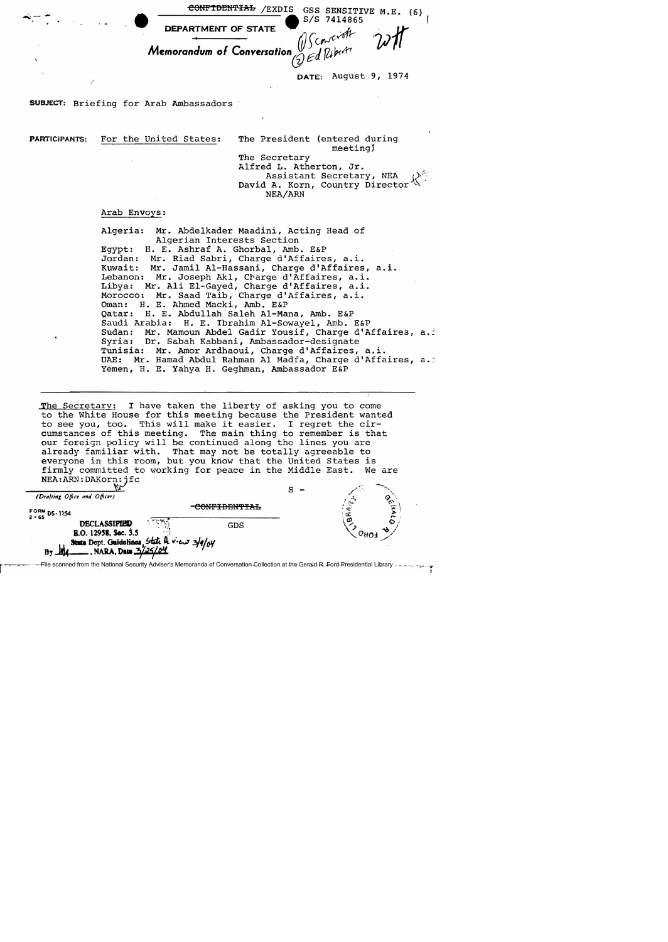**EONFIDENTIAL** /EXDIS GSS SENSITIVE M.E. (6) <br>DEPARTMENT OF STATE  $\left( \begin{array}{cc} S/S & 7414865 \end{array} \right)$ Departments . *MemoranJum* **01** *Conversation@l:f"d(ZJP-tvtt* 

DATE: August 9, 1974

SUBJECT: Briefing for Arab Ambassadors .

PARTICiPANTS: For the united States: The President (entered during meeting1

> The Secretary Alfred L. Atherton, Jr.

Assistant Secretary, NEA David A. Korn, Country Director  $\mathcal{N}$ NEA/ARN

## Arab Envoys:

Algeria: Mr. Abdelkader Maadini, Acting Head of Algerian Interests Section Egypt: H. E. Ashraf A. Ghorbal, Amb. E&P Jordan: Mr. Riad Sabri, Charge d'Affaires, a.i. Kuwait: Mr. Jamil Al-Hassani, Charge d'Affaires, a.i.<br>Lebanon: Mr. Joseph Akl. Charge d'Affaires, a.i. Mr. Joseph Akl, Charge d'Affaires, a.i. Libya: Mr. Ali El-Gayed, Charge d'Affaires, a.i. Morocco: Mr. Saad Taib, Charge d'Affaires, a.i. Oman: H. E. Ahmed Macki, Amb. E&P Qatar: H. E. Abdullah Saleh AI-Mana, Amb. E&P Saudi Arabia: H. E. Ibrahim Al-Sowayel, Amb. E&P Sudan: Mr. Mamoun Abdel Gadir Yousif, Charge d'Affaires, a.: Syria: Dr. Sabah Kabbani, Ambassador-designate Tunisia: Mr. Amor Ardhaoui, Charge d'Affaires, a.i. UAE: Mr. Hamad Abdul Rahman Al Madfa, Charge d'Affaires, a.: Yemen, H. E. Yahya H. Geghman, Ambassador E&P

The Secretary: I have taken the liberty of asking you to come to the White House for this meeting because the President wanted to see you, too. This will make it easier. I regret the circumstances of this meeting. The main thing to remember is that our foreign policy will be continued along the lines you are already familiar with. That may not be totally agreeable to everyone in this room, but you know that the united States is firmly committed to working for peace in the Middle East. We are NEA:ARN:DAKOrn;jfc

| NEA:ARN:DARUII.IIC                                             |                                            |                             |
|----------------------------------------------------------------|--------------------------------------------|-----------------------------|
| (Drafting Office and Officer)                                  |                                            | Ω                           |
| FORM DS-1254<br>2 - 65                                         | ת במונה היה היהוגם ב<br><b>PERMIT LESS</b> | Q,<br>$\tau_{\rm in}$<br>سی |
| <b>DECLASSIFIED</b><br><b>E.O.</b> 12958, Sec. 3.5             | GDS                                        | $QHO_2$                     |
| State Dept. Guidelines, State be view 3/9/04<br>B <sub>7</sub> |                                            |                             |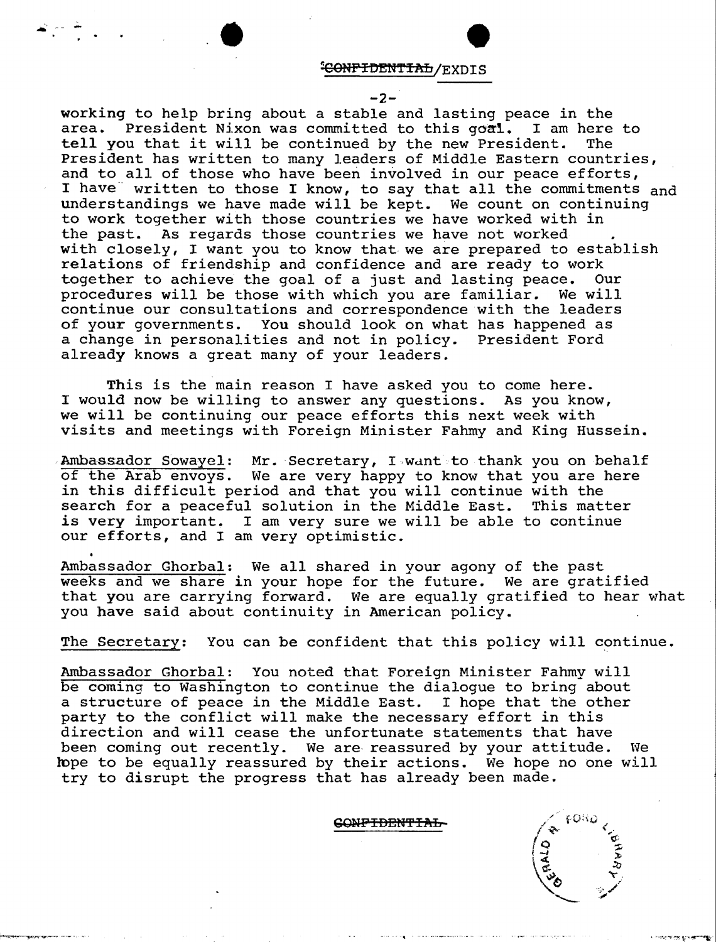## **<del>CONFIDENTIAL</del>/EXDIS**

**-2-**

working to help bring about a stable and lasting peace in the President Nixon was committed to this goal. I am here to bu that it will be continued by the new President. The tell you that it will be continued by the new President. President has written to many leaders of Middle Eastern countries, and to all of those who have been involved in our peace efforts, I have written to those I know, to say that all the commitments and understandings we have made will be kept. We count on continuing to work together with those countries we have worked with in the past. As regards those countries we have not worked • with closely, I want you to know that we are prepared to establish relations of friendship and confidence and are ready to work together to achieve the goal of a just and lasting peace. procedures will be those with which you are familiar. We will continue our consultations and correspondence with the leaders of your governments. You should look on what has happened as a change in personalities and not in policy. already knows a great many of your leaders.

This is the main reason I have asked you to come here. I would now be willing to answer any questions. As you know, we will be continuing our peace efforts this next week with visits and meetings with Foreign Minister Fahmy and King Hussein.

Ambassador Sowayel: Mr. Secretary, I want to thank you on behalf of the Arab envoys. We are very happy to know that you are here in this difficult period and that you will continue with the<br>search for a peaceful solution in the Middle East. This matter search for a peaceful solution in the Middle East. is very important. I am very sure we will be able to continue our efforts, and I am very optimistic.

Ambassador Ghorbal: We all shared in your agony of the past weeks and we share in your hope for the future. We are gratified that you are carrying forward. We are equally gratified to hear what you have said about continuity in American policy.

The Secretary: You can be confident that this policy will continue.

Ambassador Ghorbal: You noted that Foreign Minister Fahmy will be coming to Washington to continue the dialogue to bring about a structure of peace in the Middle East. I hope that the other party to the conflict will make the necessary effort in this direction and will cease the unfortunate statements that have been coming out recently. We are· reassured by your attitude. We hope to be equally reassured by their actions. We hope no one will try to disrupt the progress that has already been made.

**GONPIDENTIAL**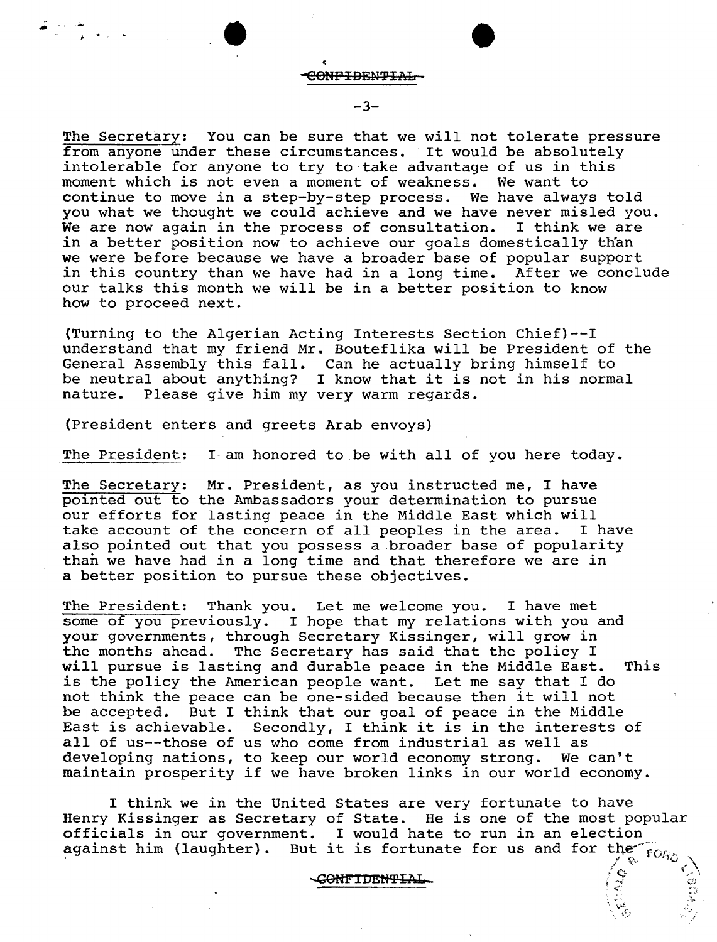•

The Secretary: You can be sure that we will not tolerate pressure from anyone under these circumstances. It would be absolutely intolerable for anyone to try to take advantage of us in this moment which is not even a moment of weakness. We want to continue to move in a step-by-step process. We have always told you what we thought we could achieve and we have never misled you. We are now again in the process of consultation. I think we are in a better position now to achieve our goals domestically than we were before because we have a broader base of popular support in this country than we have had in a long time. After we conclude our talks this month we will be in a better position to know how to proceed next.

{Turning to the Algerian Acting Interests Section Chief)--I understand that my friend Mr. Bouteflika will be President of the General Assembly this fall. Can he actually bring himself to be neutral about anything? I know that it is not in his normal<br>nature. Please give him my very warm regards. Please give him my very warm regards.

(President enters and greets Arab envoys)

•

The President: I am honored to be with all of you here today.

The Secretary: Mr. President, as you instructed me, I have pointed out to the Ambassadors your determination to pursue our efforts for lasting peace in the Middle East which will take account of the concern of all peoples in the area. I have also pointed out that you possess a broader base of popularity than we have had in a long time and that therefore we are in a better position to pursue these objectives.

The President: Thank you. Let me welcome you. I have met some of you previously. I hope that my relations with you and your governments, through Secretary Kissinger, will grow in the months ahead. The Secretary has said that the policy I The Secretary has said that the policy I will pursue is lasting and durable peace in the Middle East. This is the policy the American people want. Let me say that I do not think the peace can be one-sided because then it will not be accepted. But I think that our goal of peace in the Middle East is achievable. Secondly, I think it is in the interests Secondly, I think it is in the interests of all of us--those of us who come from industrial as well as developing nations, to keep our world economy strong. We can't maintain prosperity if we have broken links in our world economy.

I think we in the United States are very fortunate to have Henry Kissinger as Secretary of State. He is one of the most popular officials in our government. I would hate to run in an election against him (laughter). But it is fortunate for us and for the  $f_{\alpha}$   $f_{O_{G_{\alpha}}}$ .

**ONFIDENTIAI** 

 $\mathcal{L}_{\mathbf{G}}$  ( ... )  $\epsilon$  and  $\epsilon$  (for  $\epsilon$